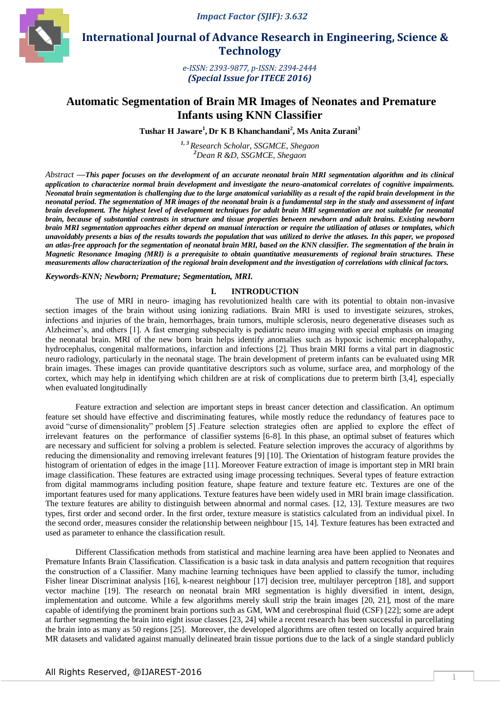*Impact Factor (SJIF): 3.632*



 **International Journal of Advance Research in Engineering, Science & Technology** 

> *e-ISSN: 2393-9877, p-ISSN: 2394-2444 (Special Issue for ITECE 2016)*

# **Automatic Segmentation of Brain MR Images of Neonates and Premature Infants using KNN Classifier**

**Tushar H Jaware<sup>1</sup> , Dr K B Khanchandani<sup>2</sup> , Ms Anita Zurani<sup>3</sup>**

*1, 3 Research Scholar, SSGMCE, Shegaon <sup>2</sup>Dean R &D, SSGMCE, Shegaon*

*Abstract* **—***This paper focuses on the development of an accurate neonatal brain MRI segmentation algorithm and its clinical application to characterize normal brain development and investigate the neuro-anatomical correlates of cognitive impairments. Neonatal brain segmentation is challenging due to the large anatomical variability as a result of the rapid brain development in the neonatal period. The segmentation of MR images of the neonatal brain is a fundamental step in the study and assessment of infant brain development. The highest level of development techniques for adult brain MRI segmentation are not suitable for neonatal brain, because of substantial contrasts in structure and tissue properties between newborn and adult brains. Existing newborn brain MRI segmentation approaches either depend on manual interaction or require the utilization of atlases or templates, which unavoidably presents a bias of the results towards the population that was utilized to derive the atlases. In this paper, we proposed an atlas-free approach for the segmentation of neonatal brain MRI, based on the KNN classifier. The segmentation of the brain in Magnetic Resonance Imaging (MRI) is a prerequisite to obtain quantitative measurements of regional brain structures. These measurements allow characterization of the regional brain development and the investigation of correlations with clinical factors.* 

## *Keywords-KNN; Newborn; Premature; Segmentation, MRI.*

## **I. INTRODUCTION**

The use of MRI in neuro- imaging has revolutionized health care with its potential to obtain non-invasive section images of the brain without using ionizing radiations. Brain MRI is used to investigate seizures, strokes, infections and injuries of the brain, hemorrhages, brain tumors, multiple sclerosis, neuro degenerative diseases such as Alzheimer's, and others [1]. A fast emerging subspecialty is pediatric neuro imaging with special emphasis on imaging the neonatal brain. MRI of the new born brain helps identify anomalies such as hypoxic ischemic encephalopathy, hydrocephalus, congenital malformations, infarction and infections [2]. Thus brain MRI forms a vital part in diagnostic neuro radiology, particularly in the neonatal stage. The brain development of preterm infants can be evaluated using MR brain images. These images can provide quantitative descriptors such as volume, surface area, and morphology of the cortex, which may help in identifying which children are at risk of complications due to preterm birth [3,4], especially when evaluated longitudinally

Feature extraction and selection are important steps in breast cancer detection and classification. An optimum feature set should have effective and discriminating features, while mostly reduce the redundancy of features pace to avoid "curse of dimensionality" problem [5] .Feature selection strategies often are applied to explore the effect of irrelevant features on the performance of classifier systems [6-8]. In this phase, an optimal subset of features which are necessary and sufficient for solving a problem is selected. Feature selection improves the accuracy of algorithms by reducing the dimensionality and removing irrelevant features [9] [10]. The Orientation of histogram feature provides the histogram of orientation of edges in the image [11]. Moreover Feature extraction of image is important step in MRI brain image classification. These features are extracted using image processing techniques. Several types of feature extraction from digital mammograms including position feature, shape feature and texture feature etc. Textures are one of the important features used for many applications. Texture features have been widely used in MRI brain image classification. The texture features are ability to distinguish between abnormal and normal cases. [12, 13]. Texture measures are two types, first order and second order. In the first order, texture measure is statistics calculated from an individual pixel. In the second order, measures consider the relationship between neighbour [15, 14]. Texture features has been extracted and used as parameter to enhance the classification result.

Different Classification methods from statistical and machine learning area have been applied to Neonates and Premature Infants Brain Classification. Classification is a basic task in data analysis and pattern recognition that requires the construction of a Classifier. Many machine learning techniques have been applied to classify the tumor, including Fisher linear Discriminat analysis [16], k-nearest neighbour [17] decision tree, multilayer perceptron [18], and support vector machine [19]. The research on neonatal brain MRI segmentation is highly diversified in intent, design, implementation and outcome. While a few algorithms merely skull strip the brain images [20, 21], most of the mare capable of identifying the prominent brain portions such as GM, WM and cerebrospinal fluid (CSF) [22]; some are adept at further segmenting the brain into eight issue classes [23, 24] while a recent research has been successful in parcellating the brain into as many as 50 regions [25]. Moreover, the developed algorithms are often tested on locally acquired brain MR datasets and validated against manually delineated brain tissue portions due to the lack of a single standard publicly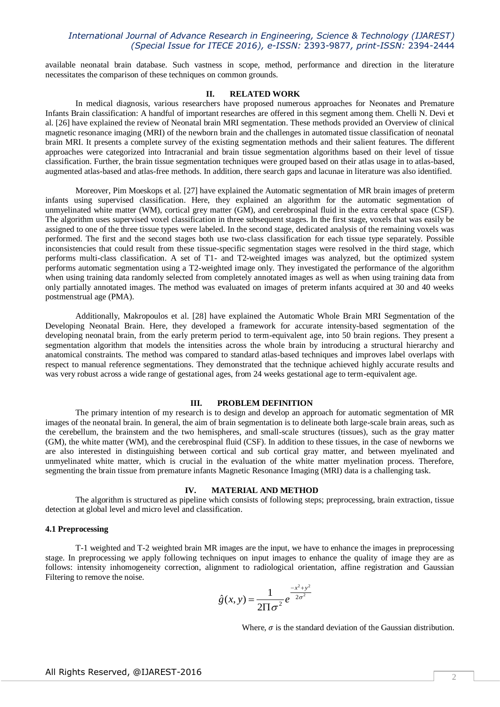## *International Journal of Advance Research in Engineering, Science & Technology (IJAREST) (Special Issue for ITECE 2016), e-ISSN:* 2393-9877*, print-ISSN:* 2394-2444

available neonatal brain database. Such vastness in scope, method, performance and direction in the literature necessitates the comparison of these techniques on common grounds.

#### **II. RELATED WORK**

In medical diagnosis, various researchers have proposed numerous approaches for Neonates and Premature Infants Brain classification: A handful of important researches are offered in this segment among them. Chelli N. Devi et al. [26] have explained the review of Neonatal brain MRI segmentation. These methods provided an Overview of clinical magnetic resonance imaging (MRI) of the newborn brain and the challenges in automated tissue classification of neonatal brain MRI. It presents a complete survey of the existing segmentation methods and their salient features. The different approaches were categorized into Intracranial and brain tissue segmentation algorithms based on their level of tissue classification. Further, the brain tissue segmentation techniques were grouped based on their atlas usage in to atlas-based, augmented atlas-based and atlas-free methods. In addition, there search gaps and lacunae in literature was also identified.

Moreover, Pim Moeskops et al. [27] have explained the Automatic segmentation of MR brain images of preterm infants using supervised classification. Here, they explained an algorithm for the automatic segmentation of unmyelinated white matter (WM), cortical grey matter (GM), and cerebrospinal fluid in the extra cerebral space (CSF). The algorithm uses supervised voxel classification in three subsequent stages. In the first stage, voxels that was easily be assigned to one of the three tissue types were labeled. In the second stage, dedicated analysis of the remaining voxels was performed. The first and the second stages both use two-class classification for each tissue type separately. Possible inconsistencies that could result from these tissue-specific segmentation stages were resolved in the third stage, which performs multi-class classification. A set of T1- and T2-weighted images was analyzed, but the optimized system performs automatic segmentation using a T2-weighted image only. They investigated the performance of the algorithm when using training data randomly selected from completely annotated images as well as when using training data from only partially annotated images. The method was evaluated on images of preterm infants acquired at 30 and 40 weeks postmenstrual age (PMA).

Additionally, Makropoulos et al. [28] have explained the Automatic Whole Brain MRI Segmentation of the Developing Neonatal Brain. Here, they developed a framework for accurate intensity-based segmentation of the developing neonatal brain, from the early preterm period to term-equivalent age, into 50 brain regions. They present a segmentation algorithm that models the intensities across the whole brain by introducing a structural hierarchy and anatomical constraints. The method was compared to standard atlas-based techniques and improves label overlaps with respect to manual reference segmentations. They demonstrated that the technique achieved highly accurate results and was very robust across a wide range of gestational ages, from 24 weeks gestational age to term-equivalent age.

## **III. PROBLEM DEFINITION**

The primary intention of my research is to design and develop an approach for automatic segmentation of MR images of the neonatal brain. In general, the aim of brain segmentation is to delineate both large-scale brain areas, such as the cerebellum, the brainstem and the two hemispheres, and small-scale structures (tissues), such as the gray matter (GM), the white matter (WM), and the cerebrospinal fluid (CSF). In addition to these tissues, in the case of newborns we are also interested in distinguishing between cortical and sub cortical gray matter, and between myelinated and unmyelinated white matter, which is crucial in the evaluation of the white matter myelination process. Therefore, segmenting the brain tissue from premature infants Magnetic Resonance Imaging (MRI) data is a challenging task.

## **IV. MATERIAL AND METHOD**

The algorithm is structured as pipeline which consists of following steps; preprocessing, brain extraction, tissue detection at global level and micro level and classification.

#### **4.1 Preprocessing**

T-1 weighted and T-2 weighted brain MR images are the input, we have to enhance the images in preprocessing stage. In preprocessing we apply following techniques on input images to enhance the quality of image they are as follows: intensity inhomogeneity correction, alignment to radiological orientation, affine registration and Gaussian Filtering to remove the noise.

$$
\hat{g}(x, y) = \frac{1}{2\Pi \sigma^2} e^{\frac{-x^2 + y^2}{2\sigma^2}}
$$

Where,  $\sigma$  is the [standard deviation](https://en.wikipedia.org/wiki/Standard_deviation) of the Gaussian distribution.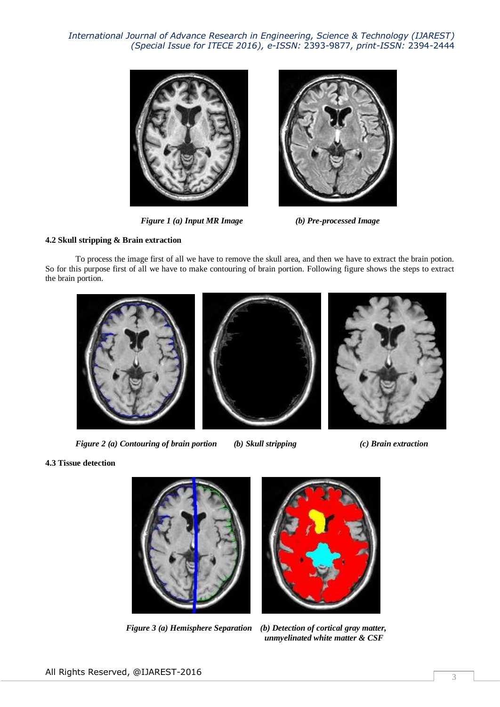*International Journal of Advance Research in Engineering, Science & Technology (IJAREST) (Special Issue for ITECE 2016), e-ISSN:* 2393-9877*, print-ISSN:* 2394-2444



 *Figure 1 (a) Input MR Image (b) Pre-processed Image*



## **4.2 Skull stripping & Brain extraction**

To process the image first of all we have to remove the skull area, and then we have to extract the brain potion. So for this purpose first of all we have to make contouring of brain portion. Following figure shows the steps to extract the brain portion.



*Figure 2 (a) Contouring of brain portion (b) Skull stripping (c) Brain extraction*

## **4.3 Tissue detection**





 *Figure 3 (a) Hemisphere Separation (b) Detection of cortical gray matter, unmyelinated white matter & CSF*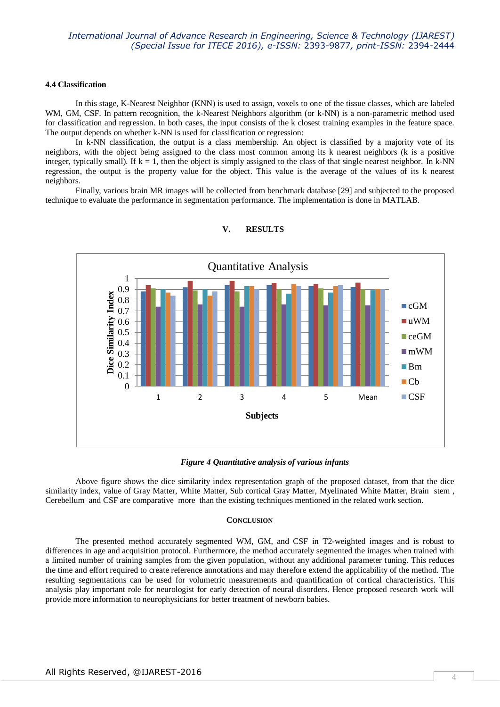## **4.4 Classification**

In this stage, K-Nearest Neighbor (KNN) is used to assign, voxels to one of the tissue classes, which are labeled WM, GM, CSF. In pattern recognition, the k-Nearest Neighbors algorithm (or k-NN) is a non-parametric method used for classification and regression. In both cases, the input consists of the k closest training examples in the feature space. The output depends on whether k-NN is used for classification or regression:

In k-NN classification, the output is a class membership. An object is classified by a majority vote of its neighbors, with the object being assigned to the class most common among its k nearest neighbors (k is a positive integer, typically small). If  $k = 1$ , then the object is simply assigned to the class of that single nearest neighbor. In k-NN regression, the output is the property value for the object. This value is the average of the values of its k nearest neighbors.

Finally, various brain MR images will be collected from benchmark database [29] and subjected to the proposed technique to evaluate the performance in segmentation performance. The implementation is done in MATLAB.



## **V. RESULTS**

*Figure 4 Quantitative analysis of various infants*

Above figure shows the dice similarity index representation graph of the proposed dataset, from that the dice similarity index, value of Gray Matter, White Matter, Sub cortical Gray Matter, Myelinated White Matter, Brain stem , Cerebellum and CSF are comparative more than the existing techniques mentioned in the related work section.

### **CONCLUSION**

The presented method accurately segmented WM, GM, and CSF in T2-weighted images and is robust to differences in age and acquisition protocol. Furthermore, the method accurately segmented the images when trained with a limited number of training samples from the given population, without any additional parameter tuning. This reduces the time and effort required to create reference annotations and may therefore extend the applicability of the method. The resulting segmentations can be used for volumetric measurements and quantification of cortical characteristics. This analysis play important role for neurologist for early detection of neural disorders. Hence proposed research work will provide more information to neurophysicians for better treatment of newborn babies.